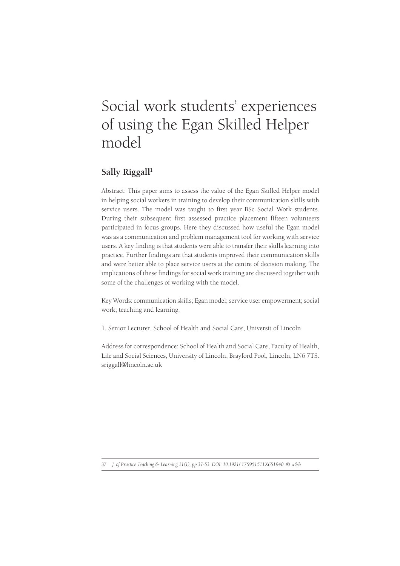# Social work students' experiences of using the Egan Skilled Helper model

# Sally Riggall<sup>1</sup>

Abstract: This paper aims to assess the value of the Egan Skilled Helper model in helping social workers in training to develop their communication skills with service users. The model was taught to first year BSc Social Work students. During their subsequent first assessed practice placement fifteen volunteers participated in focus groups. Here they discussed how useful the Egan model was as a communication and problem management tool for working with service users. A key finding is that students were able to transfer their skills learning into practice. Further findings are that students improved their communication skills and were better able to place service users at the centre of decision making. The implications of these findings for social work training are discussed together with some of the challenges of working with the model.

Key Words: communication skills; Egan model; service user empowerment; social work; teaching and learning.

1. Senior Lecturer, School of Health and Social Care, Universit of Lincoln

Address for correspondence: School of Health and Social Care, Faculty of Health, Life and Social Sciences, University of Lincoln, Brayford Pool, Lincoln, LN6 7TS. sriggall@lincoln.ac.uk

*37 J. of Practice Teaching & Learning 11(1), pp.37-53. DOI: 10.1921/ 175951511X651940. © w&b*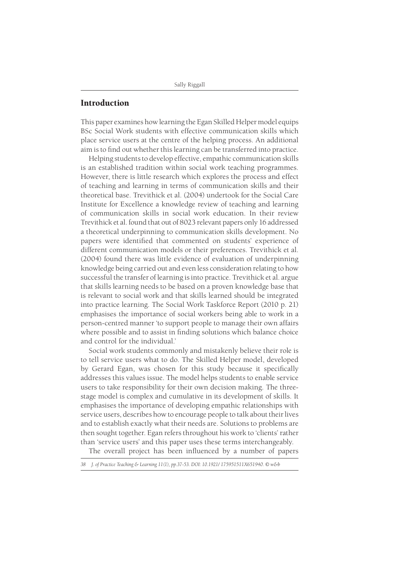# **Introduction**

This paper examines how learning the Egan Skilled Helper model equips BSc Social Work students with effective communication skills which place service users at the centre of the helping process. An additional aim is to find out whether this learning can be transferred into practice.

Helping students to develop effective, empathic communication skills is an established tradition within social work teaching programmes. However, there is little research which explores the process and effect of teaching and learning in terms of communication skills and their theoretical base. Trevithick et al. (2004) undertook for the Social Care Institute for Excellence a knowledge review of teaching and learning of communication skills in social work education. In their review Trevithick et al. found that out of 8023 relevant papers only 16 addressed a theoretical underpinning to communication skills development. No papers were identified that commented on students' experience of different communication models or their preferences. Trevithick et al. (2004) found there was little evidence of evaluation of underpinning knowledge being carried out and even less consideration relating to how successful the transfer of learning is into practice. Trevithick et al. argue that skills learning needs to be based on a proven knowledge base that is relevant to social work and that skills learned should be integrated into practice learning. The Social Work Taskforce Report (2010 p. 21) emphasises the importance of social workers being able to work in a person-centred manner 'to support people to manage their own affairs where possible and to assist in finding solutions which balance choice and control for the individual.'

Social work students commonly and mistakenly believe their role is to tell service users what to do. The Skilled Helper model, developed by Gerard Egan, was chosen for this study because it specifically addresses this values issue. The model helps students to enable service users to take responsibility for their own decision making. The threestage model is complex and cumulative in its development of skills. It emphasises the importance of developing empathic relationships with service users, describes how to encourage people to talk about their lives and to establish exactly what their needs are. Solutions to problems are then sought together. Egan refers throughout his work to 'clients' rather than 'service users' and this paper uses these terms interchangeably.

The overall project has been influenced by a number of papers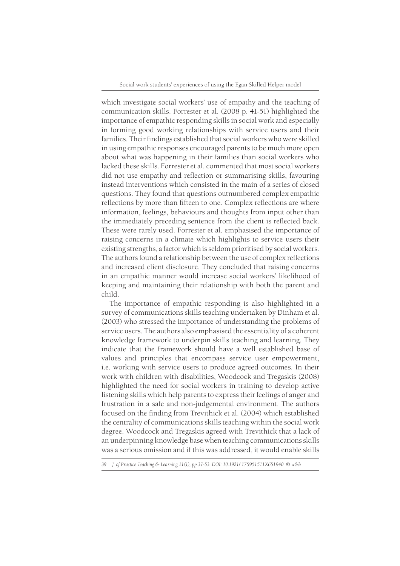which investigate social workers' use of empathy and the teaching of communication skills. Forrester et al. (2008 p. 41-51) highlighted the importance of empathic responding skills in social work and especially in forming good working relationships with service users and their families. Their findings established that social workers who were skilled in using empathic responses encouraged parents to be much more open about what was happening in their families than social workers who lacked these skills. Forrester et al. commented that most social workers did not use empathy and reflection or summarising skills, favouring instead interventions which consisted in the main of a series of closed questions. They found that questions outnumbered complex empathic reflections by more than fifteen to one. Complex reflections are where information, feelings, behaviours and thoughts from input other than the immediately preceding sentence from the client is reflected back. These were rarely used. Forrester et al. emphasised the importance of raising concerns in a climate which highlights to service users their existing strengths, a factor which is seldom prioritised by social workers. The authors found a relationship between the use of complex reflections and increased client disclosure. They concluded that raising concerns in an empathic manner would increase social workers' likelihood of keeping and maintaining their relationship with both the parent and child.

The importance of empathic responding is also highlighted in a survey of communications skills teaching undertaken by Dinham et al. (2003) who stressed the importance of understanding the problems of service users. The authors also emphasised the essentiality of a coherent knowledge framework to underpin skills teaching and learning. They indicate that the framework should have a well established base of values and principles that encompass service user empowerment, i.e. working with service users to produce agreed outcomes. In their work with children with disabilities, Woodcock and Tregaskis (2008) highlighted the need for social workers in training to develop active listening skills which help parents to express their feelings of anger and frustration in a safe and non-judgemental environment. The authors focused on the finding from Trevithick et al. (2004) which established the centrality of communications skills teaching within the social work degree. Woodcock and Tregaskis agreed with Trevithick that a lack of an underpinning knowledge base when teaching communications skills was a serious omission and if this was addressed, it would enable skills

*<sup>39</sup> J. of Practice Teaching & Learning 11(1), pp.37-53. DOI: 10.1921/ 175951511X651940. © w&b*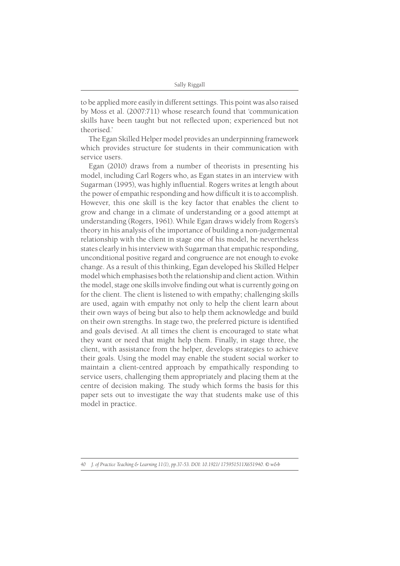to be applied more easily in different settings. This point was also raised by Moss et al. (2007:711) whose research found that 'communication skills have been taught but not reflected upon; experienced but not theorised.'

The Egan Skilled Helper model provides an underpinning framework which provides structure for students in their communication with service users.

Egan (2010) draws from a number of theorists in presenting his model, including Carl Rogers who, as Egan states in an interview with Sugarman (1995), was highly influential. Rogers writes at length about the power of empathic responding and how difficult it is to accomplish. However, this one skill is the key factor that enables the client to grow and change in a climate of understanding or a good attempt at understanding (Rogers, 1961). While Egan draws widely from Rogers's theory in his analysis of the importance of building a non-judgemental relationship with the client in stage one of his model, he nevertheless states clearly in his interview with Sugarman that empathic responding, unconditional positive regard and congruence are not enough to evoke change. As a result of this thinking, Egan developed his Skilled Helper model which emphasises both the relationship and client action. Within the model, stage one skills involve finding out what is currently going on for the client. The client is listened to with empathy; challenging skills are used, again with empathy not only to help the client learn about their own ways of being but also to help them acknowledge and build on their own strengths. In stage two, the preferred picture is identified and goals devised. At all times the client is encouraged to state what they want or need that might help them. Finally, in stage three, the client, with assistance from the helper, develops strategies to achieve their goals. Using the model may enable the student social worker to maintain a client-centred approach by empathically responding to service users, challenging them appropriately and placing them at the centre of decision making. The study which forms the basis for this paper sets out to investigate the way that students make use of this model in practice.

*<sup>40</sup> J. of Practice Teaching & Learning 11(1), pp.37-53. DOI: 10.1921/ 175951511X651940. © w&b*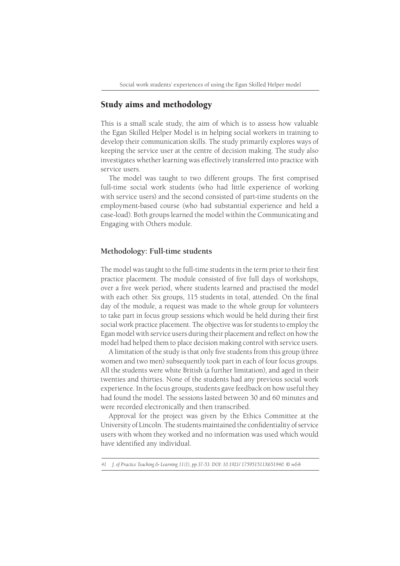# Study aims and methodology

This is a small scale study, the aim of which is to assess how valuable the Egan Skilled Helper Model is in helping social workers in training to develop their communication skills. The study primarily explores ways of keeping the service user at the centre of decision making. The study also investigates whether learning was effectively transferred into practice with service users.

The model was taught to two different groups. The first comprised full-time social work students (who had little experience of working with service users) and the second consisted of part-time students on the employment-based course (who had substantial experience and held a case-load). Both groups learned the model within the Communicating and Engaging with Others module.

#### **Methodology: Full-time students**

The model was taught to the full-time students in the term prior to their first practice placement. The module consisted of five full days of workshops, over a five week period, where students learned and practised the model with each other. Six groups, 115 students in total, attended. On the final day of the module, a request was made to the whole group for volunteers to take part in focus group sessions which would be held during their first social work practice placement. The objective was for students to employ the Egan model with service users during their placement and reflect on how the model had helped them to place decision making control with service users.

A limitation of the study is that only five students from this group (three women and two men) subsequently took part in each of four focus groups. All the students were white British (a further limitation), and aged in their twenties and thirties. None of the students had any previous social work experience. In the focus groups, students gave feedback on how useful they had found the model. The sessions lasted between 30 and 60 minutes and were recorded electronically and then transcribed.

Approval for the project was given by the Ethics Committee at the University of Lincoln. The students maintained the confidentiality of service users with whom they worked and no information was used which would have identified any individual.

*<sup>41</sup> J. of Practice Teaching & Learning 11(1), pp.37-53. DOI: 10.1921/ 175951511X651940. © w&b*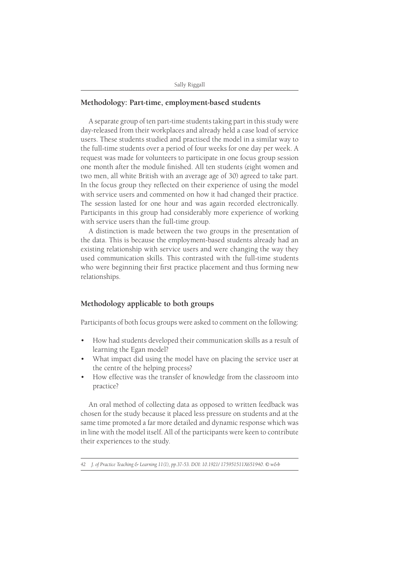#### **Methodology: Part-time, employment-based students**

A separate group of ten part-time students taking part in this study were day-released from their workplaces and already held a case load of service users. These students studied and practised the model in a similar way to the full-time students over a period of four weeks for one day per week. A request was made for volunteers to participate in one focus group session one month after the module finished. All ten students (eight women and two men, all white British with an average age of 30) agreed to take part. In the focus group they reflected on their experience of using the model with service users and commented on how it had changed their practice. The session lasted for one hour and was again recorded electronically. Participants in this group had considerably more experience of working with service users than the full-time group.

A distinction is made between the two groups in the presentation of the data. This is because the employment-based students already had an existing relationship with service users and were changing the way they used communication skills. This contrasted with the full-time students who were beginning their first practice placement and thus forming new relationships.

## **Methodology applicable to both groups**

Participants of both focus groups were asked to comment on the following:

- How had students developed their communication skills as a result of learning the Egan model?
- What impact did using the model have on placing the service user at the centre of the helping process?
- How effective was the transfer of knowledge from the classroom into practice?

An oral method of collecting data as opposed to written feedback was chosen for the study because it placed less pressure on students and at the same time promoted a far more detailed and dynamic response which was in line with the model itself. All of the participants were keen to contribute their experiences to the study.

*42 J. of Practice Teaching & Learning 11(1), pp.37-53. DOI: 10.1921/ 175951511X651940. © w&b*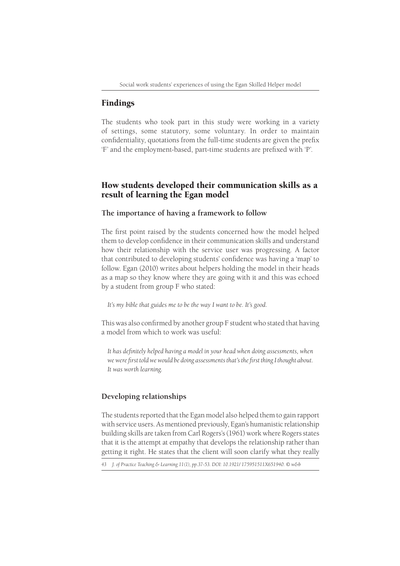# Findings

The students who took part in this study were working in a variety of settings, some statutory, some voluntary. In order to maintain confidentiality, quotations from the full-time students are given the prefix 'F' and the employment-based, part-time students are prefixed with 'P'.

# How students developed their communication skills as a result of learning the Egan model

#### **The importance of having a framework to follow**

The first point raised by the students concerned how the model helped them to develop confidence in their communication skills and understand how their relationship with the service user was progressing. A factor that contributed to developing students' confidence was having a 'map' to follow. Egan (2010) writes about helpers holding the model in their heads as a map so they know where they are going with it and this was echoed by a student from group F who stated:

*It's my bible that guides me to be the way I want to be. It's good.*

This was also confirmed by another group F student who stated that having a model from which to work was useful:

It has definitely helped having a model in your head when doing assessments, when we were first told we would be doing assessments that's the first thing I thought about. *It was worth learning.*

# **Developing relationships**

The students reported that the Egan model also helped them to gain rapport with service users. As mentioned previously, Egan's humanistic relationship building skills are taken from Carl Rogers's (1961) work where Rogers states that it is the attempt at empathy that develops the relationship rather than getting it right. He states that the client will soon clarify what they really

*<sup>43</sup> J. of Practice Teaching & Learning 11(1), pp.37-53. DOI: 10.1921/ 175951511X651940. © w&b*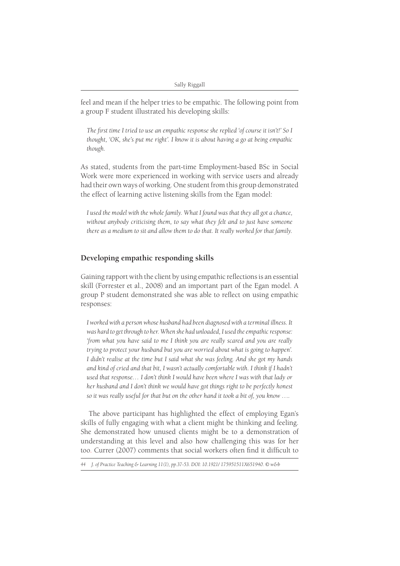feel and mean if the helper tries to be empathic. The following point from a group F student illustrated his developing skills:

The first time I tried to use an empathic response she replied 'of course it isn't!' So I *thought, 'OK, she's put me right'. I know it is about having a go at being empathic though.*

As stated, students from the part-time Employment-based BSc in Social Work were more experienced in working with service users and already had their own ways of working. One student from this group demonstrated the effect of learning active listening skills from the Egan model:

*I used the model with the whole family. What I found was that they all got a chance, without anybody criticising them, to say what they felt and to just have someone there as a medium to sit and allow them to do that. It really worked for that family.*

# **Developing empathic responding skills**

Gaining rapport with the client by using empathic reflections is an essential skill (Forrester et al., 2008) and an important part of the Egan model. A group P student demonstrated she was able to reflect on using empathic responses:

*I worked with a person whose husband had been diagnosed with a terminal illness. It was hard to get through to her. When she had unloaded, I used the empathic response: 'from what you have said to me I think you are really scared and you are really trying to protect your husband but you are worried about what is going to happen'. I didn't realise at the time but I said what she was feeling. And she got my hands and kind of cried and that bit, I wasn't actually comfortable with. I think if I hadn't used that response… I don't think I would have been where I was with that lady or her husband and I don't think we would have got things right to be perfectly honest so it was really useful for that but on the other hand it took a bit of, you know ….*

The above participant has highlighted the effect of employing Egan's skills of fully engaging with what a client might be thinking and feeling. She demonstrated how unused clients might be to a demonstration of understanding at this level and also how challenging this was for her too. Currer (2007) comments that social workers often find it difficult to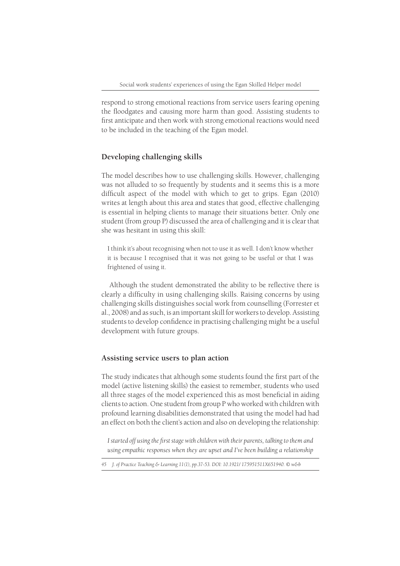respond to strong emotional reactions from service users fearing opening the floodgates and causing more harm than good. Assisting students to first anticipate and then work with strong emotional reactions would need to be included in the teaching of the Egan model.

## **Developing challenging skills**

The model describes how to use challenging skills. However, challenging was not alluded to so frequently by students and it seems this is a more difficult aspect of the model with which to get to grips. Egan (2010) writes at length about this area and states that good, effective challenging is essential in helping clients to manage their situations better. Only one student (from group P) discussed the area of challenging and it is clear that she was hesitant in using this skill:

I think it's about recognising when not to use it as well. I don't know whether it is because I recognised that it was not going to be useful or that I was frightened of using it.

Although the student demonstrated the ability to be reflective there is clearly a difficulty in using challenging skills. Raising concerns by using challenging skills distinguishes social work from counselling (Forrester et al., 2008) and as such, is an important skill for workers to develop. Assisting students to develop confidence in practising challenging might be a useful development with future groups.

## **Assisting service users to plan action**

The study indicates that although some students found the first part of the model (active listening skills) the easiest to remember, students who used all three stages of the model experienced this as most beneficial in aiding clients to action. One student from group P who worked with children with profound learning disabilities demonstrated that using the model had had an effect on both the client's action and also on developing the relationship:

I started off using the first stage with children with their parents, talking to them and *using empathic responses when they are upset and I've been building a relationship* 

*<sup>45</sup> J. of Practice Teaching & Learning 11(1), pp.37-53. DOI: 10.1921/ 175951511X651940. © w&b*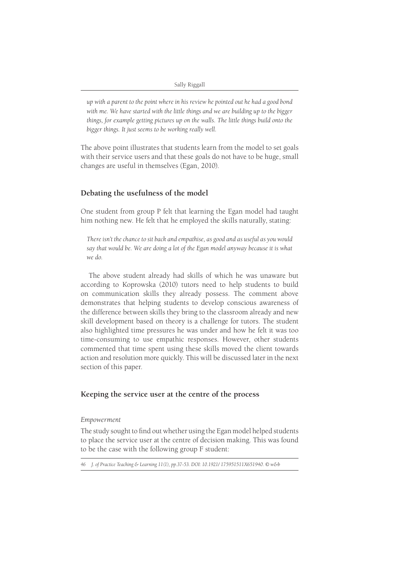*up with a parent to the point where in his review he pointed out he had a good bond with me. We have started with the little things and we are building up to the bigger things, for example getting pictures up on the walls. The little things build onto the bigger things. It just seems to be working really well.*

The above point illustrates that students learn from the model to set goals with their service users and that these goals do not have to be huge, small changes are useful in themselves (Egan, 2010).

# **Debating the usefulness of the model**

One student from group P felt that learning the Egan model had taught him nothing new. He felt that he employed the skills naturally, stating:

*There isn't the chance to sit back and empathise, as good and as useful as you would say that would be. We are doing a lot of the Egan model anyway because it is what we do.*

The above student already had skills of which he was unaware but according to Koprowska (2010) tutors need to help students to build on communication skills they already possess. The comment above demonstrates that helping students to develop conscious awareness of the difference between skills they bring to the classroom already and new skill development based on theory is a challenge for tutors. The student also highlighted time pressures he was under and how he felt it was too time-consuming to use empathic responses. However, other students commented that time spent using these skills moved the client towards action and resolution more quickly. This will be discussed later in the next section of this paper.

#### **Keeping the service user at the centre of the process**

#### *Empowerment*

The study sought to find out whether using the Egan model helped students to place the service user at the centre of decision making. This was found to be the case with the following group F student: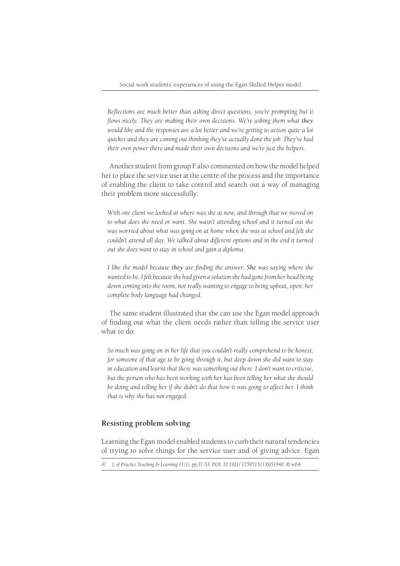*Reflections are much better than asking direct questions, you're prompting but it fl ows nicely. They are making their own decisions. We're asking them what they would like and the responses are a lot better and we're getting to action quite a lot quicker and they are coming out thinking they've actually done the job. They've had their own power there and made their own decisions and we're just the helpers.*

Another student from group F also commented on how the model helped her to place the service user at the centre of the process and the importance of enabling the client to take control and search out a way of managing their problem more successfully:

*With one client we looked at where was she at now, and through that we moved on to what does she need or want. She wasn't attending school and it turned out she was worried about what was going on at home when she was at school and felt she couldn't attend all day. We talked about different options and in the end it turned out she does want to stay in school and gain a diploma.*

*I* like the model because they are finding the answer. She was saying where she *wanted to be. I felt because she had given a solution she had gone from her head being down coming into the room, not really wanting to engage to being upbeat, open: her complete body language had changed.*

The same student illustrated that she can use the Egan model approach of finding out what the client needs rather than telling the service user what to do:

*So much was going on in her life that you couldn't really comprehend to be honest, for someone of that age to be going through it, but deep down she did want to stay in education and learnt that there was something out there. I don't want to criticise, but the person who has been working with her has been telling her what she should be doing and telling her if she didn't do that how it was going to affect her. I think that is why she has not engaged.*

# **Resisting problem solving**

Learning the Egan model enabled students to curb their natural tendencies of trying to solve things for the service user and of giving advice. Egan

*<sup>47</sup> J. of Practice Teaching & Learning 11(1), pp.37-53. DOI: 10.1921/ 175951511X651940. © w&b*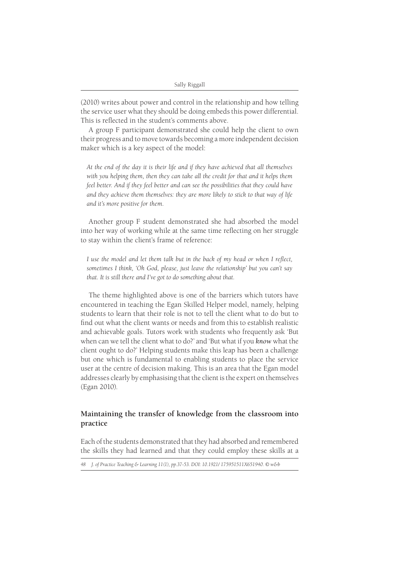(2010) writes about power and control in the relationship and how telling the service user what they should be doing embeds this power differential. This is reflected in the student's comments above.

A group F participant demonstrated she could help the client to own their progress and to move towards becoming a more independent decision maker which is a key aspect of the model:

*At the end of the day it is their life and if they have achieved that all themselves*  with you helping them, then they can take all the credit for that and it helps them *feel better. And if they feel better and can see the possibilities that they could have and they achieve them themselves: they are more likely to stick to that way of life and it's more positive for them.*

Another group F student demonstrated she had absorbed the model into her way of working while at the same time reflecting on her struggle to stay within the client's frame of reference:

*I* use the model and let them talk but in the back of my head or when I reflect, *sometimes I think, 'Oh God, please, just leave the relationship' but you can't say that. It is still there and I've got to do something about that.*

The theme highlighted above is one of the barriers which tutors have encountered in teaching the Egan Skilled Helper model, namely, helping students to learn that their role is not to tell the client what to do but to find out what the client wants or needs and from this to establish realistic and achievable goals. Tutors work with students who frequently ask 'But when can we tell the client what to do?' and 'But what if you *know* what the client ought to do?' Helping students make this leap has been a challenge but one which is fundamental to enabling students to place the service user at the centre of decision making. This is an area that the Egan model addresses clearly by emphasising that the client is the expert on themselves (Egan 2010).

# **Maintaining the transfer of knowledge from the classroom into practice**

Each of the students demonstrated that they had absorbed and remembered the skills they had learned and that they could employ these skills at a

*48 J. of Practice Teaching & Learning 11(1), pp.37-53. DOI: 10.1921/ 175951511X651940. © w&b*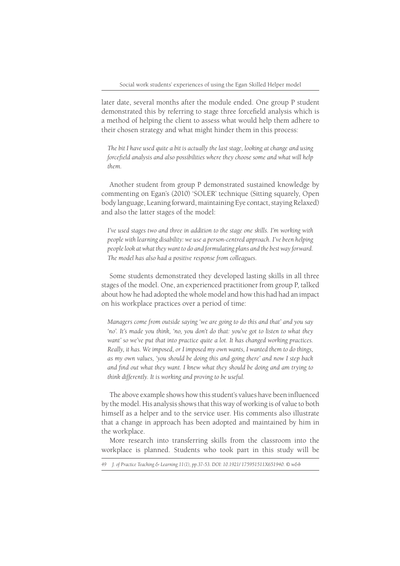later date, several months after the module ended. One group P student demonstrated this by referring to stage three forcefield analysis which is a method of helping the client to assess what would help them adhere to their chosen strategy and what might hinder them in this process:

*The bit I have used quite a bit is actually the last stage, looking at change and using forcefield analysis and also possibilities where they choose some and what will help them.*

Another student from group P demonstrated sustained knowledge by commenting on Egan's (2010) 'SOLER' technique (Sitting squarely, Open body language, Leaning forward, maintaining Eye contact, staying Relaxed) and also the latter stages of the model:

*I've used stages two and three in addition to the stage one skills. I'm working with people with learning disability: we use a person-centred approach. I've been helping people look at what they want to do and formulating plans and the best way forward. The model has also had a positive response from colleagues.*

Some students demonstrated they developed lasting skills in all three stages of the model. One, an experienced practitioner from group P, talked about how he had adopted the whole model and how this had had an impact on his workplace practices over a period of time:

*Managers come from outside saying 'we are going to do this and that' and you say*  'no'. It's made you think, 'no, you don't do that: you've got to listen to what they *want' so we've put that into practice quite a lot. It has changed working practices. Really, it has. We imposed, or I imposed my own wants, I wanted them to do things, as my own values, 'you should be doing this and going there' and now I step back*  and find out what they want. I knew what they should be doing and am trying to *think differently. It is working and proving to be useful.*

The above example shows how this student's values have been influenced by the model. His analysis shows that this way of working is of value to both himself as a helper and to the service user. His comments also illustrate that a change in approach has been adopted and maintained by him in the workplace.

More research into transferring skills from the classroom into the workplace is planned. Students who took part in this study will be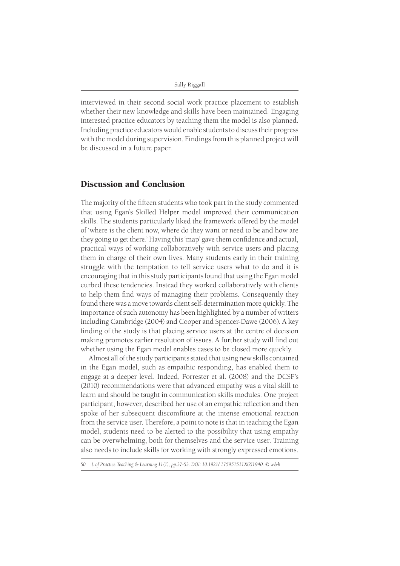interviewed in their second social work practice placement to establish whether their new knowledge and skills have been maintained. Engaging interested practice educators by teaching them the model is also planned. Including practice educators would enable students to discuss their progress with the model during supervision. Findings from this planned project will be discussed in a future paper.

# Discussion and Conclusion

The majority of the fifteen students who took part in the study commented that using Egan's Skilled Helper model improved their communication skills. The students particularly liked the framework offered by the model of 'where is the client now, where do they want or need to be and how are they going to get there.' Having this 'map' gave them confidence and actual, practical ways of working collaboratively with service users and placing them in charge of their own lives. Many students early in their training struggle with the temptation to tell service users what to do and it is encouraging that in this study participants found that using the Egan model curbed these tendencies. Instead they worked collaboratively with clients to help them find ways of managing their problems. Consequently they found there was a move towards client self-determination more quickly. The importance of such autonomy has been highlighted by a number of writers including Cambridge (2004) and Cooper and Spencer-Dawe (2006). A key finding of the study is that placing service users at the centre of decision making promotes earlier resolution of issues. A further study will find out whether using the Egan model enables cases to be closed more quickly.

Almost all of the study participants stated that using new skills contained in the Egan model, such as empathic responding, has enabled them to engage at a deeper level. Indeed, Forrester et al. (2008) and the DCSF's (2010) recommendations were that advanced empathy was a vital skill to learn and should be taught in communication skills modules. One project participant, however, described her use of an empathic reflection and then spoke of her subsequent discomfiture at the intense emotional reaction from the service user. Therefore, a point to note is that in teaching the Egan model, students need to be alerted to the possibility that using empathy can be overwhelming, both for themselves and the service user. Training also needs to include skills for working with strongly expressed emotions.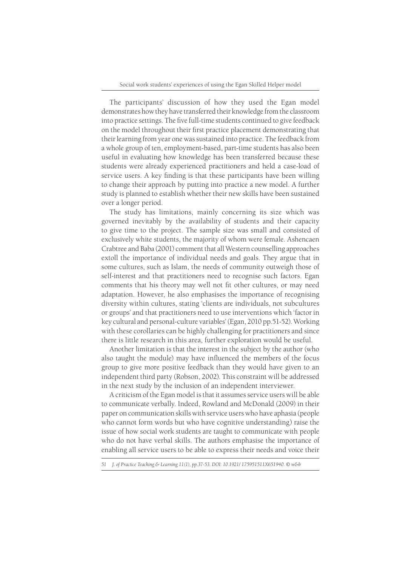The participants' discussion of how they used the Egan model demonstrates how they have transferred their knowledge from the classroom into practice settings. The five full-time students continued to give feedback on the model throughout their first practice placement demonstrating that their learning from year one was sustained into practice. The feedback from a whole group of ten, employment-based, part-time students has also been useful in evaluating how knowledge has been transferred because these students were already experienced practitioners and held a case-load of service users. A key finding is that these participants have been willing to change their approach by putting into practice a new model. A further study is planned to establish whether their new skills have been sustained over a longer period.

The study has limitations, mainly concerning its size which was governed inevitably by the availability of students and their capacity to give time to the project. The sample size was small and consisted of exclusively white students, the majority of whom were female. Ashencaen Crabtree and Baba (2001) comment that all Western counselling approaches extoll the importance of individual needs and goals. They argue that in some cultures, such as Islam, the needs of community outweigh those of self-interest and that practitioners need to recognise such factors. Egan comments that his theory may well not fit other cultures, or may need adaptation. However, he also emphasises the importance of recognising diversity within cultures, stating 'clients are individuals, not subcultures or groups' and that practitioners need to use interventions which 'factor in key cultural and personal-culture variables' (Egan, 2010 pp.51-52). Working with these corollaries can be highly challenging for practitioners and since there is little research in this area, further exploration would be useful.

Another limitation is that the interest in the subject by the author (who also taught the module) may have influenced the members of the focus group to give more positive feedback than they would have given to an independent third party (Robson, 2002). This constraint will be addressed in the next study by the inclusion of an independent interviewer.

A criticism of the Egan model is that it assumes service users will be able to communicate verbally. Indeed, Rowland and McDonald (2009) in their paper on communication skills with service users who have aphasia (people who cannot form words but who have cognitive understanding) raise the issue of how social work students are taught to communicate with people who do not have verbal skills. The authors emphasise the importance of enabling all service users to be able to express their needs and voice their

*<sup>51</sup> J. of Practice Teaching & Learning 11(1), pp.37-53. DOI: 10.1921/ 175951511X651940. © w&b*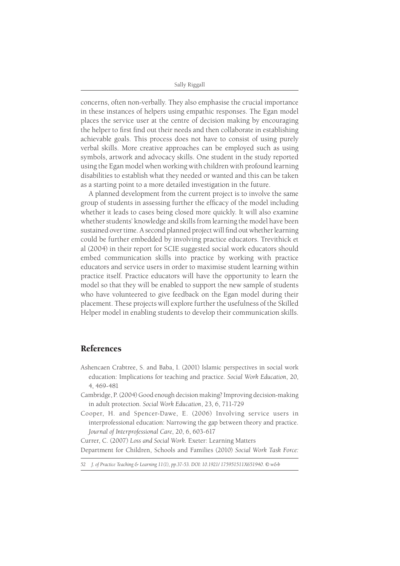Sally Riggall

concerns, often non-verbally. They also emphasise the crucial importance in these instances of helpers using empathic responses. The Egan model places the service user at the centre of decision making by encouraging the helper to first find out their needs and then collaborate in establishing achievable goals. This process does not have to consist of using purely verbal skills. More creative approaches can be employed such as using symbols, artwork and advocacy skills. One student in the study reported using the Egan model when working with children with profound learning disabilities to establish what they needed or wanted and this can be taken as a starting point to a more detailed investigation in the future.

A planned development from the current project is to involve the same group of students in assessing further the efficacy of the model including whether it leads to cases being closed more quickly. It will also examine whether students' knowledge and skills from learning the model have been sustained over time. A second planned project will find out whether learning could be further embedded by involving practice educators. Trevithick et al (2004) in their report for SCIE suggested social work educators should embed communication skills into practice by working with practice educators and service users in order to maximise student learning within practice itself. Practice educators will have the opportunity to learn the model so that they will be enabled to support the new sample of students who have volunteered to give feedback on the Egan model during their placement. These projects will explore further the usefulness of the Skilled Helper model in enabling students to develop their communication skills.

# References

- Ashencaen Crabtree, S. and Baba, I. (2001) Islamic perspectives in social work education: Implications for teaching and practice. *Social Work Education*, 20, 4, 469-481
- Cambridge, P. (2004) Good enough decision making? Improving decision-making in adult protection. *Social Work Education*, 23, 6, 711-729
- Cooper, H. and Spencer-Dawe, E. (2006) Involving service users in interprofessional education: Narrowing the gap between theory and practice. *Journal of Interprofessional Care*, 20, 6, 603-617

Currer, C. (2007) *Loss and Social Work.* Exeter: Learning Matters Department for Children, Schools and Families (2010) *Social Work Task Force:* 

*52 J. of Practice Teaching & Learning 11(1), pp.37-53. DOI: 10.1921/ 175951511X651940. © w&b*